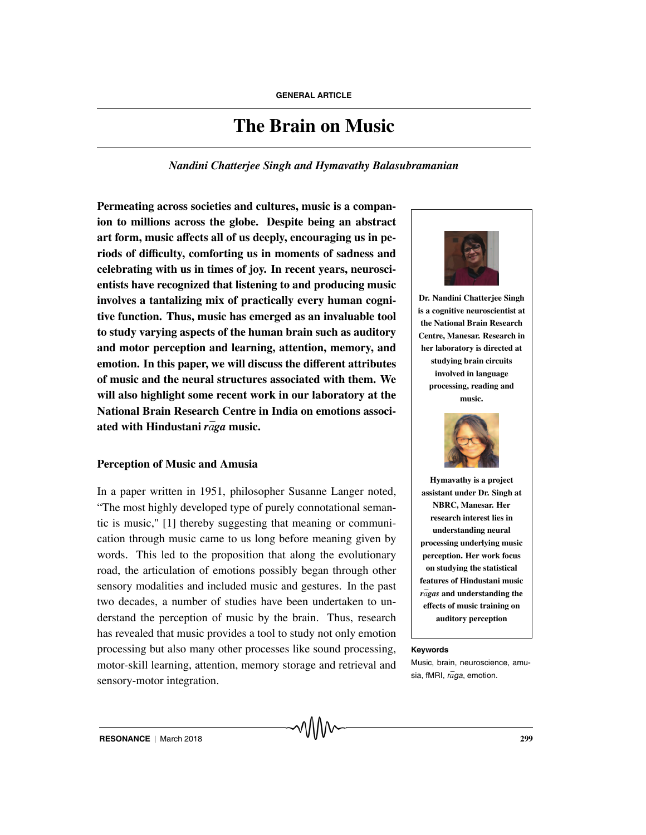# **The Brain on Music**

*Nandini Chatterjee Singh and Hymavathy Balasubramanian*

**Permeating across societies and cultures, music is a companion to millions across the globe. Despite being an abstract art form, music a**ff**ects all of us deeply, encouraging us in periods of di**ffi**culty, comforting us in moments of sadness and celebrating with us in times of joy. In recent years, neuroscientists have recognized that listening to and producing music involves a tantalizing mix of practically every human cognitive function. Thus, music has emerged as an invaluable tool to study varying aspects of the human brain such as auditory and motor perception and learning, attention, memory, and emotion. In this paper, we will discuss the di**ff**erent attributes of music and the neural structures associated with them. We will also highlight some recent work in our laboratory at the National Brain Research Centre in India on emotions associ**ated with Hindustani  $r \bar{a} g a$  music.

# **Perception of Music and Amusia**

In a paper written in 1951, philosopher Susanne Langer noted, "The most highly developed type of purely connotational semantic is music," [1] thereby suggesting that meaning or communication through music came to us long before meaning given by words. This led to the proposition that along the evolutionary road, the articulation of emotions possibly began through other sensory modalities and included music and gestures. In the past two decades, a number of studies have been undertaken to understand the perception of music by the brain. Thus, research has revealed that music provides a tool to study not only emotion processing but also many other processes like sound processing, **Keywords** motor-skill learning, attention, memory storage and retrieval and sensory-motor integration.



**Dr. Nandini Chatterjee Singh is a cognitive neuroscientist at the National Brain Research Centre, Manesar. Research in her laboratory is directed at studying brain circuits involved in language processing, reading and music.**



**Hymavathy is a project assistant under Dr. Singh at NBRC, Manesar. Her research interest lies in understanding neural processing underlying music perception. Her work focus on studying the statistical features of Hindustani music** *ra*¯*gas* **and understanding the e**ff**ects of music training on auditory perception**

Music, brain, neuroscience, amusia, fMRI,  $r\bar{a}g$ a, emotion.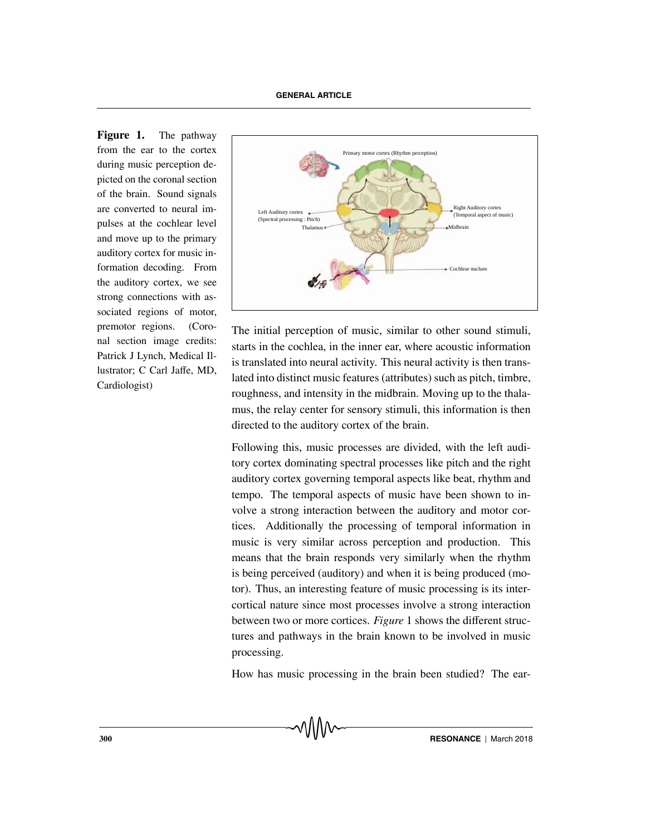**Figure 1.** The pathway from the ear to the cortex during music perception depicted on the coronal section of the brain. Sound signals are converted to neural impulses at the cochlear level and move up to the primary auditory cortex for music information decoding. From the auditory cortex, we see strong connections with associated regions of motor, premotor regions. (Coronal section image credits: Patrick J Lynch, Medical Illustrator; C Carl Jaffe, MD, Cardiologist)



The initial perception of music, similar to other sound stimuli, starts in the cochlea, in the inner ear, where acoustic information is translated into neural activity. This neural activity is then translated into distinct music features (attributes) such as pitch, timbre, roughness, and intensity in the midbrain. Moving up to the thalamus, the relay center for sensory stimuli, this information is then directed to the auditory cortex of the brain.

Following this, music processes are divided, with the left auditory cortex dominating spectral processes like pitch and the right auditory cortex governing temporal aspects like beat, rhythm and tempo. The temporal aspects of music have been shown to involve a strong interaction between the auditory and motor cortices. Additionally the processing of temporal information in music is very similar across perception and production. This means that the brain responds very similarly when the rhythm is being perceived (auditory) and when it is being produced (motor). Thus, an interesting feature of music processing is its intercortical nature since most processes involve a strong interaction between two or more cortices. *Figure* 1 shows the different structures and pathways in the brain known to be involved in music processing.

How has music processing in the brain been studied? The ear-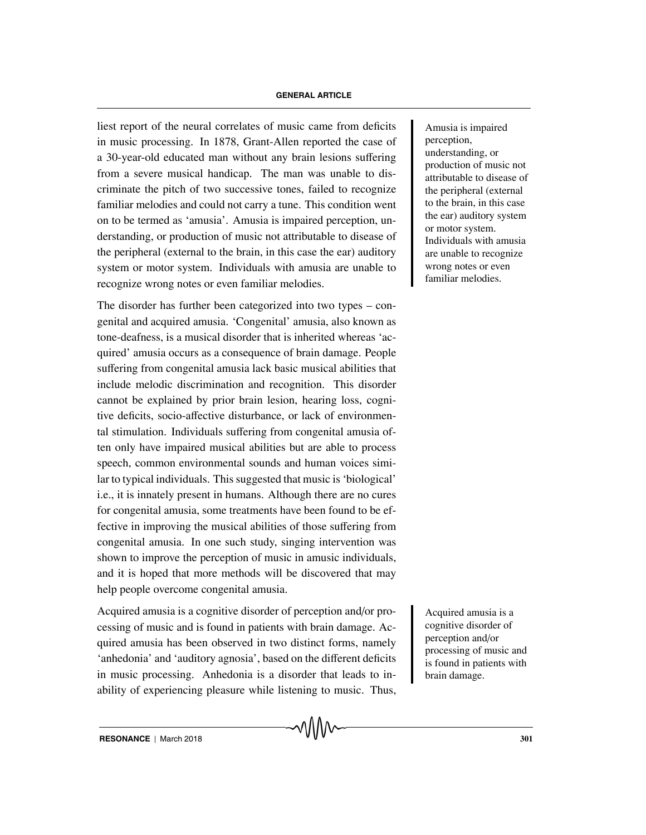liest report of the neural correlates of music came from deficits Amusia is impaired in music processing. In 1878, Grant-Allen reported the case of a 30-year-old educated man without any brain lesions suffering from a severe musical handicap. The man was unable to discriminate the pitch of two successive tones, failed to recognize familiar melodies and could not carry a tune. This condition went on to be termed as 'amusia'. Amusia is impaired perception, understanding, or production of music not attributable to disease of the peripheral (external to the brain, in this case the ear) auditory system or motor system. Individuals with amusia are unable to recognize wrong notes or even familiar melodies.

The disorder has further been categorized into two types – congenital and acquired amusia. 'Congenital' amusia, also known as tone-deafness, is a musical disorder that is inherited whereas 'acquired' amusia occurs as a consequence of brain damage. People suffering from congenital amusia lack basic musical abilities that include melodic discrimination and recognition. This disorder cannot be explained by prior brain lesion, hearing loss, cognitive deficits, socio-affective disturbance, or lack of environmental stimulation. Individuals suffering from congenital amusia often only have impaired musical abilities but are able to process speech, common environmental sounds and human voices similar to typical individuals. This suggested that music is 'biological' i.e., it is innately present in humans. Although there are no cures for congenital amusia, some treatments have been found to be effective in improving the musical abilities of those suffering from congenital amusia. In one such study, singing intervention was shown to improve the perception of music in amusic individuals, and it is hoped that more methods will be discovered that may help people overcome congenital amusia.

Acquired amusia is a cognitive disorder of perception and/or pro-<br>Acquired amusia is a cessing of music and is found in patients with brain damage. Acquired amusia has been observed in two distinct forms, namely 'anhedonia' and 'auditory agnosia', based on the different deficits in music processing. Anhedonia is a disorder that leads to inability of experiencing pleasure while listening to music. Thus,

perception, understanding, or production of music not attributable to disease of the peripheral (external to the brain, in this case the ear) auditory system or motor system. Individuals with amusia are unable to recognize wrong notes or even familiar melodies.

cognitive disorder of perception and/or processing of music and is found in patients with brain damage.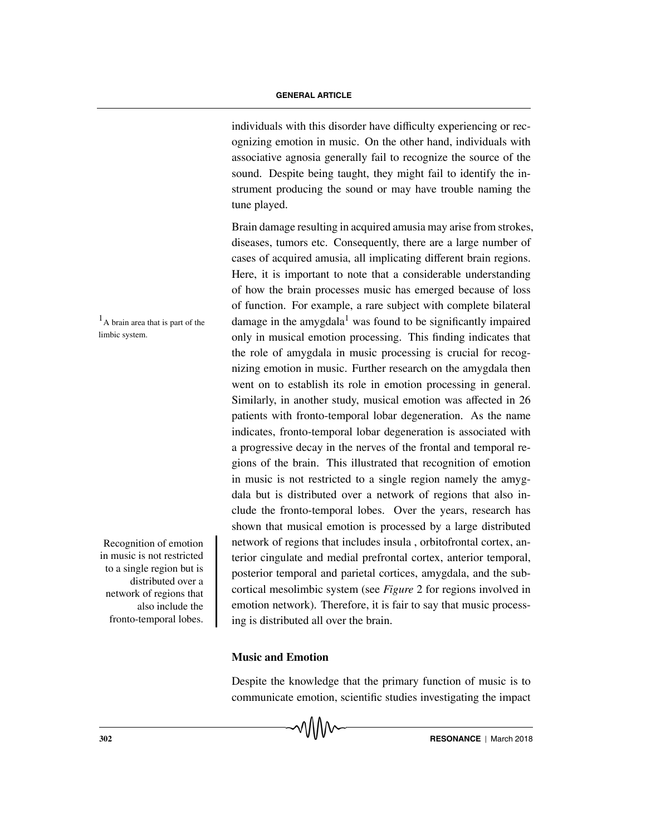individuals with this disorder have difficulty experiencing or recognizing emotion in music. On the other hand, individuals with associative agnosia generally fail to recognize the source of the sound. Despite being taught, they might fail to identify the instrument producing the sound or may have trouble naming the tune played.

Brain damage resulting in acquired amusia may arise from strokes, diseases, tumors etc. Consequently, there are a large number of cases of acquired amusia, all implicating different brain regions. Here, it is important to note that a considerable understanding of how the brain processes music has emerged because of loss of function. For example, a rare subject with complete bilateral damage in the amygdala<sup>1</sup> was found to be significantly impaired only in musical emotion processing. This finding indicates that the role of amygdala in music processing is crucial for recognizing emotion in music. Further research on the amygdala then went on to establish its role in emotion processing in general. Similarly, in another study, musical emotion was affected in 26 patients with fronto-temporal lobar degeneration. As the name indicates, fronto-temporal lobar degeneration is associated with a progressive decay in the nerves of the frontal and temporal regions of the brain. This illustrated that recognition of emotion in music is not restricted to a single region namely the amygdala but is distributed over a network of regions that also include the fronto-temporal lobes. Over the years, research has shown that musical emotion is processed by a large distributed Recognition of emotion network of regions that includes insula, orbitofrontal cortex, anterior cingulate and medial prefrontal cortex, anterior temporal, posterior temporal and parietal cortices, amygdala, and the subcortical mesolimbic system (see *Figure* 2 for regions involved in emotion network). Therefore, it is fair to say that music processing is distributed all over the brain.

## **Music and Emotion**

Despite the knowledge that the primary function of music is to communicate emotion, scientific studies investigating the impact

 $<sup>1</sup>$ A brain area that is part of the</sup> limbic system.

in music is not restricted to a single region but is distributed over a network of regions that also include the fronto-temporal lobes.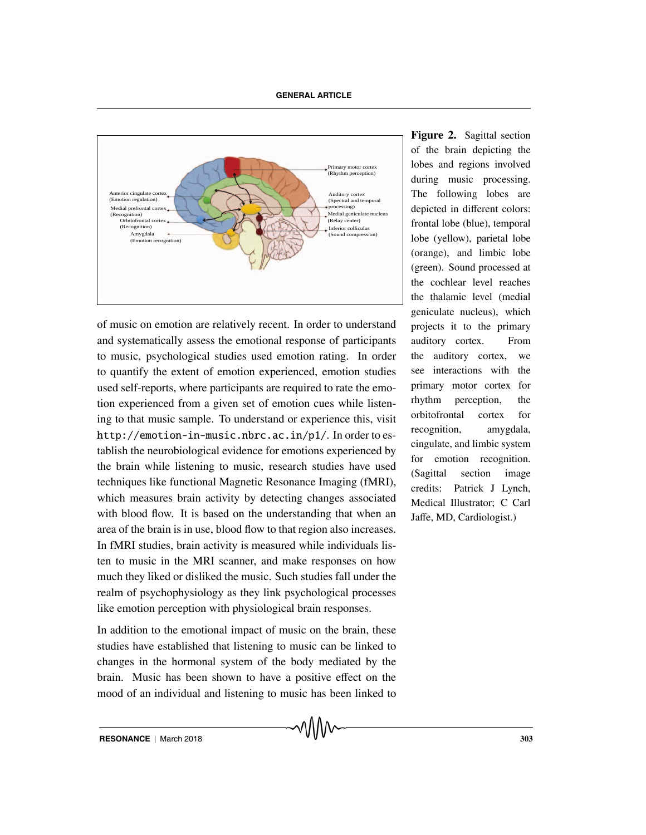

of music on emotion are relatively recent. In order to understand and systematically assess the emotional response of participants to music, psychological studies used emotion rating. In order to quantify the extent of emotion experienced, emotion studies used self-reports, where participants are required to rate the emotion experienced from a given set of emotion cues while listening to that music sample. To understand or experience this, visit http://emotion-in-music.nbrc.ac.in/p1/. In order to establish the neurobiological evidence for emotions experienced by the brain while listening to music, research studies have used techniques like functional Magnetic Resonance Imaging (fMRI), which measures brain activity by detecting changes associated with blood flow. It is based on the understanding that when an area of the brain is in use, blood flow to that region also increases. In fMRI studies, brain activity is measured while individuals listen to music in the MRI scanner, and make responses on how much they liked or disliked the music. Such studies fall under the realm of psychophysiology as they link psychological processes like emotion perception with physiological brain responses.

In addition to the emotional impact of music on the brain, these studies have established that listening to music can be linked to changes in the hormonal system of the body mediated by the brain. Music has been shown to have a positive effect on the mood of an individual and listening to music has been linked to

**Figure 2.** Sagittal section of the brain depicting the lobes and regions involved during music processing. The following lobes are depicted in different colors: frontal lobe (blue), temporal lobe (yellow), parietal lobe (orange), and limbic lobe (green). Sound processed at the cochlear level reaches the thalamic level (medial geniculate nucleus), which projects it to the primary auditory cortex. From the auditory cortex, we see interactions with the primary motor cortex for rhythm perception, the orbitofrontal cortex for recognition, amygdala, cingulate, and limbic system for emotion recognition. (Sagittal section image credits: Patrick J Lynch, Medical Illustrator; C Carl Jaffe, MD, Cardiologist.)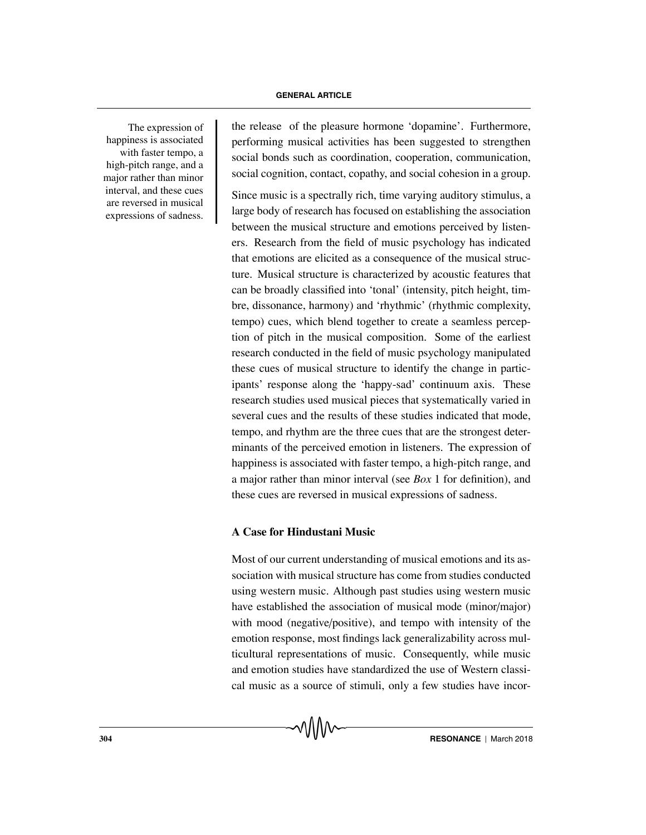The expression of happiness is associated with faster tempo, a high-pitch range, and a major rather than minor interval, and these cues are reversed in musical expressions of sadness.

the release of the pleasure hormone 'dopamine'. Furthermore, performing musical activities has been suggested to strengthen social bonds such as coordination, cooperation, communication, social cognition, contact, copathy, and social cohesion in a group.

Since music is a spectrally rich, time varying auditory stimulus, a large body of research has focused on establishing the association between the musical structure and emotions perceived by listeners. Research from the field of music psychology has indicated that emotions are elicited as a consequence of the musical structure. Musical structure is characterized by acoustic features that can be broadly classified into 'tonal' (intensity, pitch height, timbre, dissonance, harmony) and 'rhythmic' (rhythmic complexity, tempo) cues, which blend together to create a seamless perception of pitch in the musical composition. Some of the earliest research conducted in the field of music psychology manipulated these cues of musical structure to identify the change in participants' response along the 'happy-sad' continuum axis. These research studies used musical pieces that systematically varied in several cues and the results of these studies indicated that mode, tempo, and rhythm are the three cues that are the strongest determinants of the perceived emotion in listeners. The expression of happiness is associated with faster tempo, a high-pitch range, and a major rather than minor interval (see *Box* 1 for definition), and these cues are reversed in musical expressions of sadness.

# **A Case for Hindustani Music**

Most of our current understanding of musical emotions and its association with musical structure has come from studies conducted using western music. Although past studies using western music have established the association of musical mode (minor/major) with mood (negative/positive), and tempo with intensity of the emotion response, most findings lack generalizability across multicultural representations of music. Consequently, while music and emotion studies have standardized the use of Western classical music as a source of stimuli, only a few studies have incor-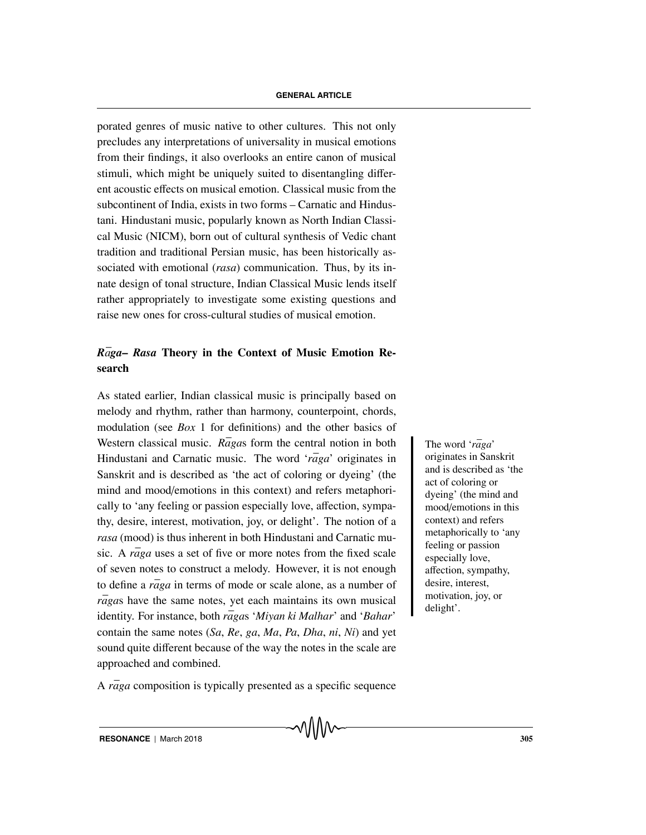porated genres of music native to other cultures. This not only precludes any interpretations of universality in musical emotions from their findings, it also overlooks an entire canon of musical stimuli, which might be uniquely suited to disentangling different acoustic effects on musical emotion. Classical music from the subcontinent of India, exists in two forms – Carnatic and Hindustani. Hindustani music, popularly known as North Indian Classical Music (NICM), born out of cultural synthesis of Vedic chant tradition and traditional Persian music, has been historically associated with emotional (*rasa*) communication. Thus, by its innate design of tonal structure, Indian Classical Music lends itself rather appropriately to investigate some existing questions and raise new ones for cross-cultural studies of musical emotion.

# *R* $\overline{a}$ *ga* – *Rasa* Theory in the Context of Music Emotion Re**search**

As stated earlier, Indian classical music is principally based on melody and rhythm, rather than harmony, counterpoint, chords, modulation (see *Box* 1 for definitions) and the other basics of Western classical music. *Ragas* form the central notion in both The word '*raga*' Hindustani and Carnatic music. The word ' $r \bar{q} g a$ ' originates in Sanskrit and is described as 'the act of coloring or dyeing' (the mind and mood/emotions in this context) and refers metaphorically to 'any feeling or passion especially love, affection, sympathy, desire, interest, motivation, joy, or delight'. The notion of a *rasa* (mood) is thus inherent in both Hindustani and Carnatic music. A  $r \bar{a} g a$  uses a set of five or more notes from the fixed scale of seven notes to construct a melody. However, it is not enough to define a  $r\bar{q}g\bar{q}$  in terms of mode or scale alone, as a number of  $r\bar{a}gas$  have the same notes, yet each maintains its own musical identity. For instance, both *ragas 'Miyan ki Malhar'* and '*Bahar*' contain the same notes (*Sa*, *Re*, *ga*, *Ma*, *Pa*, *Dha*, *ni*, *Ni*) and yet sound quite different because of the way the notes in the scale are approached and combined.

A  $r \bar{q} g a$  composition is typically presented as a specific sequence

originates in Sanskrit and is described as 'the act of coloring or dyeing' (the mind and mood/emotions in this context) and refers metaphorically to 'any feeling or passion especially love, affection, sympathy, desire, interest, motivation, joy, or delight'.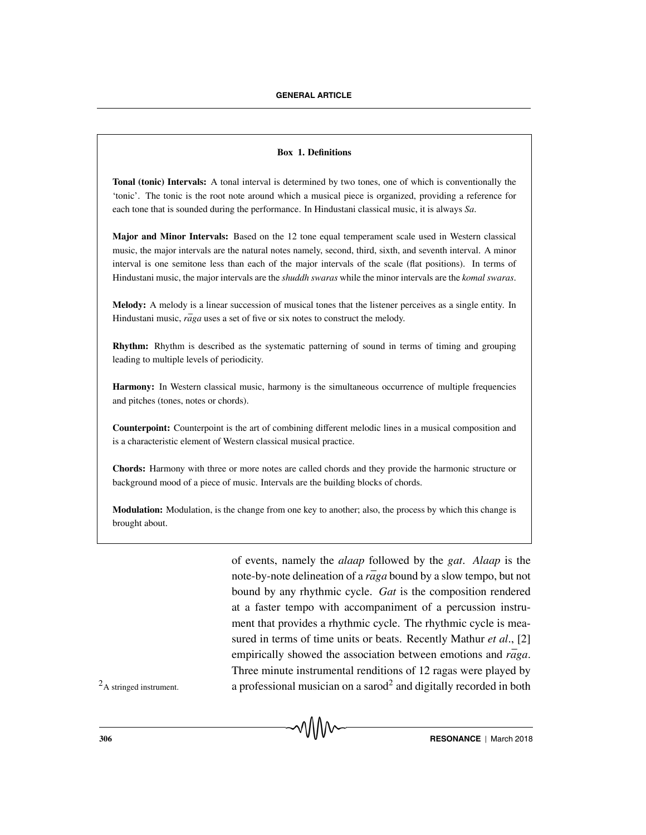#### **Box 1. Definitions**

**Tonal (tonic) Intervals:** A tonal interval is determined by two tones, one of which is conventionally the 'tonic'. The tonic is the root note around which a musical piece is organized, providing a reference for each tone that is sounded during the performance. In Hindustani classical music, it is always *Sa*.

**Major and Minor Intervals:** Based on the 12 tone equal temperament scale used in Western classical music, the major intervals are the natural notes namely, second, third, sixth, and seventh interval. A minor interval is one semitone less than each of the major intervals of the scale (flat positions). In terms of Hindustani music, the major intervals are the *shuddh swaras* while the minor intervals are the *komal swaras*.

**Melody:** A melody is a linear succession of musical tones that the listener perceives as a single entity. In Hindustani music,  $r\bar{q}gq$  uses a set of five or six notes to construct the melody.

**Rhythm:** Rhythm is described as the systematic patterning of sound in terms of timing and grouping leading to multiple levels of periodicity.

**Harmony:** In Western classical music, harmony is the simultaneous occurrence of multiple frequencies and pitches (tones, notes or chords).

**Counterpoint:** Counterpoint is the art of combining different melodic lines in a musical composition and is a characteristic element of Western classical musical practice.

**Chords:** Harmony with three or more notes are called chords and they provide the harmonic structure or background mood of a piece of music. Intervals are the building blocks of chords.

**Modulation:** Modulation, is the change from one key to another; also, the process by which this change is brought about.

of events, namely the *alaap* followed by the *gat*. *Alaap* is the note-by-note delineation of a  $r \overline{a} g a$  bound by a slow tempo, but not bound by any rhythmic cycle. *Gat* is the composition rendered at a faster tempo with accompaniment of a percussion instrument that provides a rhythmic cycle. The rhythmic cycle is measured in terms of time units or beats. Recently Mathur *et al*., [2] empirically showed the association between emotions and  $r\bar{a}g a$ . Three minute instrumental renditions of 12 ragas were played by  $A$  stringed instrument. and professional musician on a sarod  $2$  and digitally recorded in both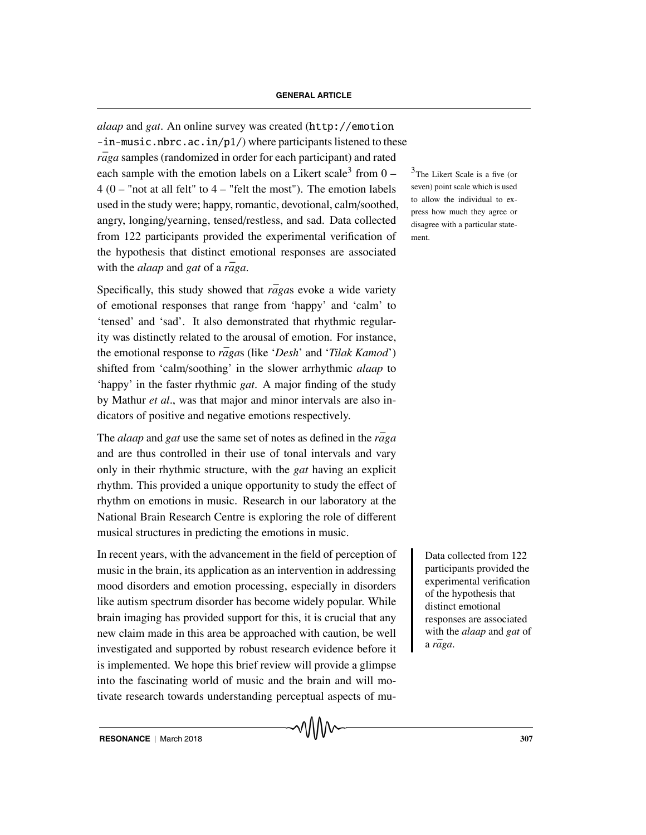*alaap* and *gat*. An online survey was created (http://emotion -in-music.nbrc.ac.in/p1/) where participants listened to these  $r\bar{q}gq$  samples (randomized in order for each participant) and rated each sample with the emotion labels on a Likert scale<sup>3</sup> from  $0 - \frac{3}{\pi}$ The Likert Scale is a five (or  $4 (0 -$ "not at all felt" to  $4 -$ "felt the most"). The emotion labels used in the study were; happy, romantic, devotional, calm/soothed, angry, longing/yearning, tensed/restless, and sad. Data collected from 122 participants provided the experimental verification of the hypothesis that distinct emotional responses are associated with the *alaap* and *gat* of a  $r \overline{a} g a$ .

Specifically, this study showed that  $r\bar{q}gas$  evoke a wide variety of emotional responses that range from 'happy' and 'calm' to 'tensed' and 'sad'. It also demonstrated that rhythmic regularity was distinctly related to the arousal of emotion. For instance, the emotional response to  $r\bar{a}gas$  (like '*Desh*' and '*Tilak Kamod*') shifted from 'calm/soothing' in the slower arrhythmic *alaap* to 'happy' in the faster rhythmic *gat*. A major finding of the study by Mathur *et al*., was that major and minor intervals are also indicators of positive and negative emotions respectively.

The *alaap* and *gat* use the same set of notes as defined in the  $r \overline{a} g a$ and are thus controlled in their use of tonal intervals and vary only in their rhythmic structure, with the *gat* having an explicit rhythm. This provided a unique opportunity to study the effect of rhythm on emotions in music. Research in our laboratory at the National Brain Research Centre is exploring the role of different musical structures in predicting the emotions in music.

In recent years, with the advancement in the field of perception of Data collected from 122 music in the brain, its application as an intervention in addressing mood disorders and emotion processing, especially in disorders like autism spectrum disorder has become widely popular. While brain imaging has provided support for this, it is crucial that any new claim made in this area be approached with caution, be well investigated and supported by robust research evidence before it is implemented. We hope this brief review will provide a glimpse into the fascinating world of music and the brain and will motivate research towards understanding perceptual aspects of mu-

seven) point scale which is used to allow the individual to express how much they agree or disagree with a particular statement.

> participants provided the experimental verification of the hypothesis that distinct emotional responses are associated with the *alaap* and *gat* of  $a$   $r\bar{a}$ ga.